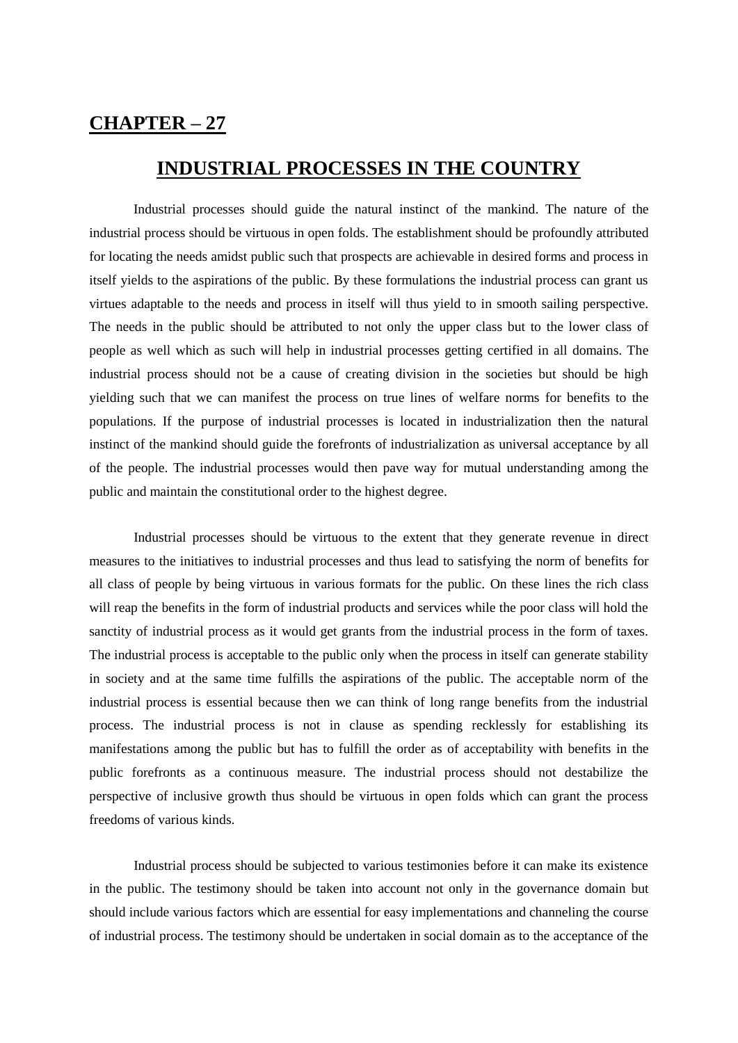## **CHAPTER – 27**

## **INDUSTRIAL PROCESSES IN THE COUNTRY**

 Industrial processes should guide the natural instinct of the mankind. The nature of the industrial process should be virtuous in open folds. The establishment should be profoundly attributed for locating the needs amidst public such that prospects are achievable in desired forms and process in itself yields to the aspirations of the public. By these formulations the industrial process can grant us virtues adaptable to the needs and process in itself will thus yield to in smooth sailing perspective. The needs in the public should be attributed to not only the upper class but to the lower class of people as well which as such will help in industrial processes getting certified in all domains. The industrial process should not be a cause of creating division in the societies but should be high yielding such that we can manifest the process on true lines of welfare norms for benefits to the populations. If the purpose of industrial processes is located in industrialization then the natural instinct of the mankind should guide the forefronts of industrialization as universal acceptance by all of the people. The industrial processes would then pave way for mutual understanding among the public and maintain the constitutional order to the highest degree.

Industrial processes should be virtuous to the extent that they generate revenue in direct measures to the initiatives to industrial processes and thus lead to satisfying the norm of benefits for all class of people by being virtuous in various formats for the public. On these lines the rich class will reap the benefits in the form of industrial products and services while the poor class will hold the sanctity of industrial process as it would get grants from the industrial process in the form of taxes. The industrial process is acceptable to the public only when the process in itself can generate stability in society and at the same time fulfills the aspirations of the public. The acceptable norm of the industrial process is essential because then we can think of long range benefits from the industrial process. The industrial process is not in clause as spending recklessly for establishing its manifestations among the public but has to fulfill the order as of acceptability with benefits in the public forefronts as a continuous measure. The industrial process should not destabilize the perspective of inclusive growth thus should be virtuous in open folds which can grant the process freedoms of various kinds.

Industrial process should be subjected to various testimonies before it can make its existence in the public. The testimony should be taken into account not only in the governance domain but should include various factors which are essential for easy implementations and channeling the course of industrial process. The testimony should be undertaken in social domain as to the acceptance of the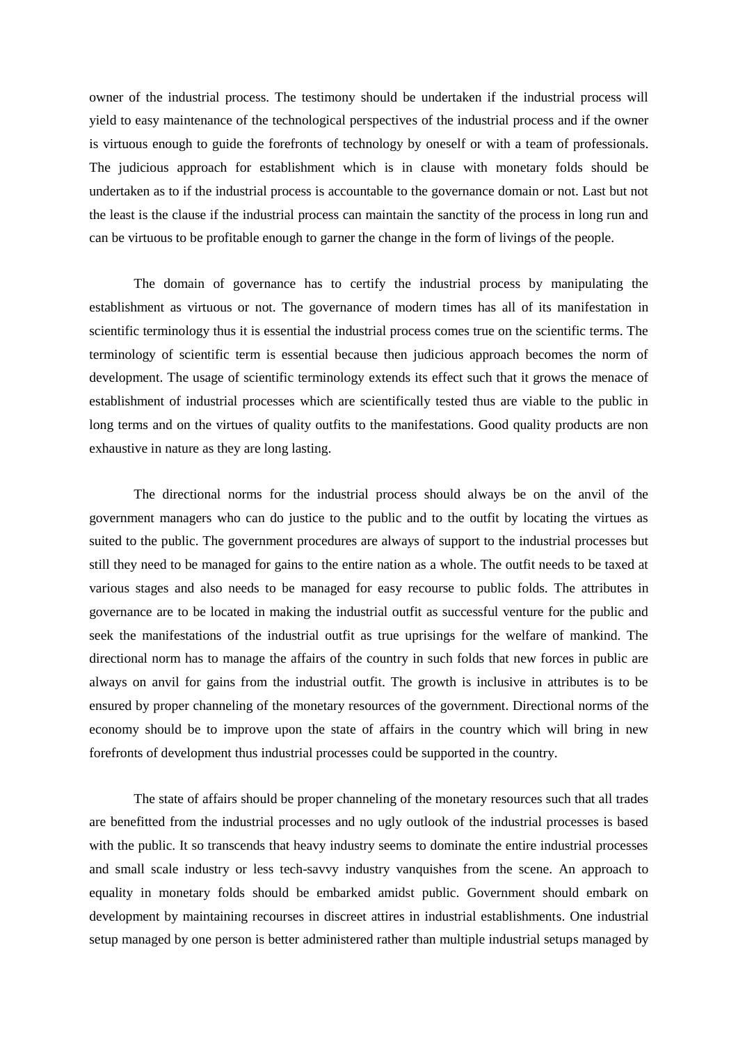owner of the industrial process. The testimony should be undertaken if the industrial process will yield to easy maintenance of the technological perspectives of the industrial process and if the owner is virtuous enough to guide the forefronts of technology by oneself or with a team of professionals. The judicious approach for establishment which is in clause with monetary folds should be undertaken as to if the industrial process is accountable to the governance domain or not. Last but not the least is the clause if the industrial process can maintain the sanctity of the process in long run and can be virtuous to be profitable enough to garner the change in the form of livings of the people.

The domain of governance has to certify the industrial process by manipulating the establishment as virtuous or not. The governance of modern times has all of its manifestation in scientific terminology thus it is essential the industrial process comes true on the scientific terms. The terminology of scientific term is essential because then judicious approach becomes the norm of development. The usage of scientific terminology extends its effect such that it grows the menace of establishment of industrial processes which are scientifically tested thus are viable to the public in long terms and on the virtues of quality outfits to the manifestations. Good quality products are non exhaustive in nature as they are long lasting.

The directional norms for the industrial process should always be on the anvil of the government managers who can do justice to the public and to the outfit by locating the virtues as suited to the public. The government procedures are always of support to the industrial processes but still they need to be managed for gains to the entire nation as a whole. The outfit needs to be taxed at various stages and also needs to be managed for easy recourse to public folds. The attributes in governance are to be located in making the industrial outfit as successful venture for the public and seek the manifestations of the industrial outfit as true uprisings for the welfare of mankind. The directional norm has to manage the affairs of the country in such folds that new forces in public are always on anvil for gains from the industrial outfit. The growth is inclusive in attributes is to be ensured by proper channeling of the monetary resources of the government. Directional norms of the economy should be to improve upon the state of affairs in the country which will bring in new forefronts of development thus industrial processes could be supported in the country.

The state of affairs should be proper channeling of the monetary resources such that all trades are benefitted from the industrial processes and no ugly outlook of the industrial processes is based with the public. It so transcends that heavy industry seems to dominate the entire industrial processes and small scale industry or less tech-savvy industry vanquishes from the scene. An approach to equality in monetary folds should be embarked amidst public. Government should embark on development by maintaining recourses in discreet attires in industrial establishments. One industrial setup managed by one person is better administered rather than multiple industrial setups managed by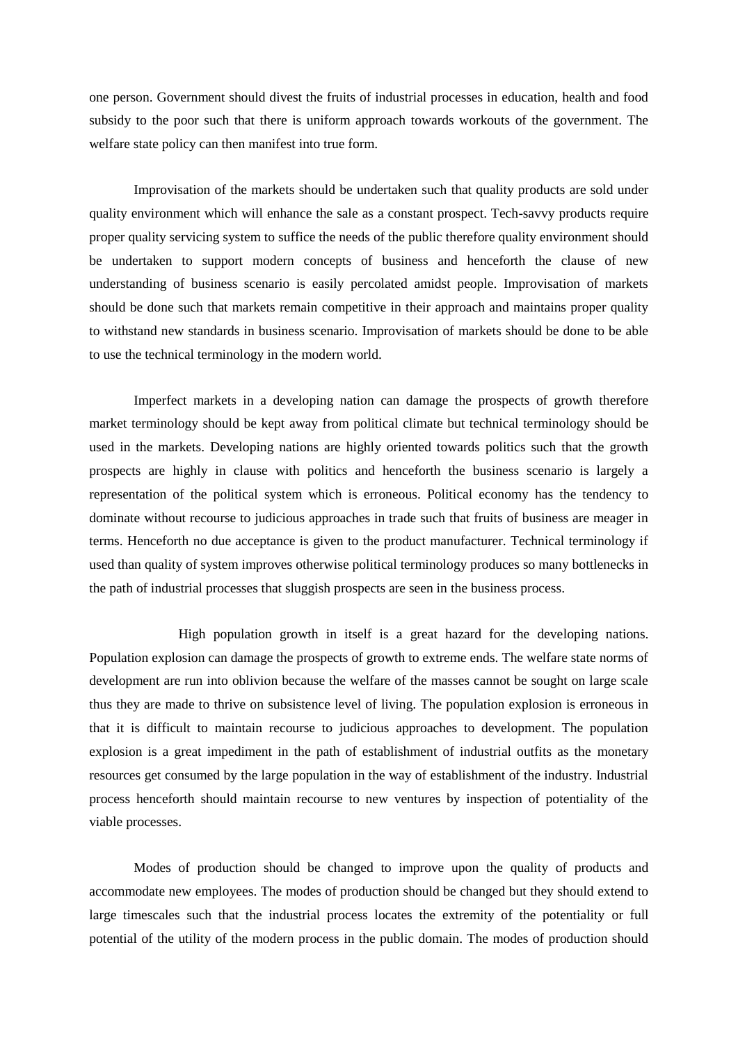one person. Government should divest the fruits of industrial processes in education, health and food subsidy to the poor such that there is uniform approach towards workouts of the government. The welfare state policy can then manifest into true form.

Improvisation of the markets should be undertaken such that quality products are sold under quality environment which will enhance the sale as a constant prospect. Tech-savvy products require proper quality servicing system to suffice the needs of the public therefore quality environment should be undertaken to support modern concepts of business and henceforth the clause of new understanding of business scenario is easily percolated amidst people. Improvisation of markets should be done such that markets remain competitive in their approach and maintains proper quality to withstand new standards in business scenario. Improvisation of markets should be done to be able to use the technical terminology in the modern world.

Imperfect markets in a developing nation can damage the prospects of growth therefore market terminology should be kept away from political climate but technical terminology should be used in the markets. Developing nations are highly oriented towards politics such that the growth prospects are highly in clause with politics and henceforth the business scenario is largely a representation of the political system which is erroneous. Political economy has the tendency to dominate without recourse to judicious approaches in trade such that fruits of business are meager in terms. Henceforth no due acceptance is given to the product manufacturer. Technical terminology if used than quality of system improves otherwise political terminology produces so many bottlenecks in the path of industrial processes that sluggish prospects are seen in the business process.

High population growth in itself is a great hazard for the developing nations. Population explosion can damage the prospects of growth to extreme ends. The welfare state norms of development are run into oblivion because the welfare of the masses cannot be sought on large scale thus they are made to thrive on subsistence level of living. The population explosion is erroneous in that it is difficult to maintain recourse to judicious approaches to development. The population explosion is a great impediment in the path of establishment of industrial outfits as the monetary resources get consumed by the large population in the way of establishment of the industry. Industrial process henceforth should maintain recourse to new ventures by inspection of potentiality of the viable processes.

Modes of production should be changed to improve upon the quality of products and accommodate new employees. The modes of production should be changed but they should extend to large timescales such that the industrial process locates the extremity of the potentiality or full potential of the utility of the modern process in the public domain. The modes of production should